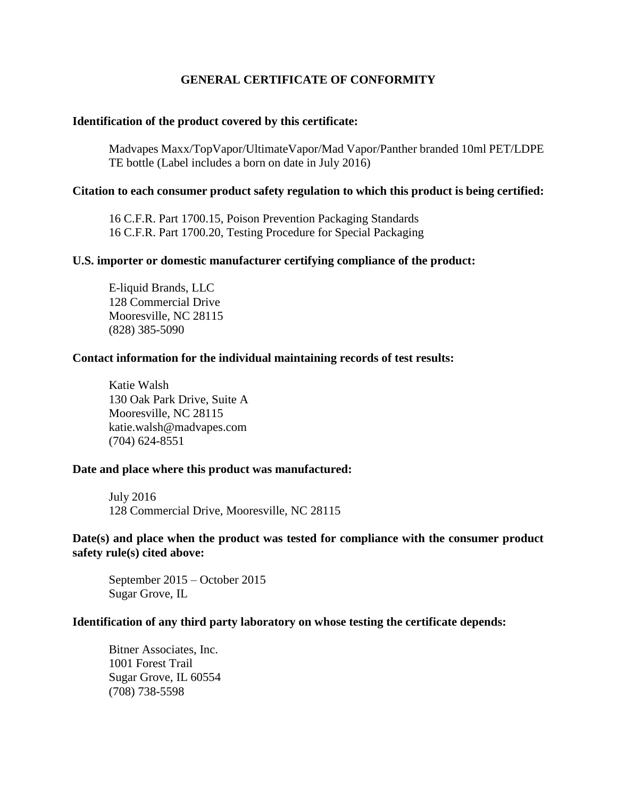# **GENERAL CERTIFICATE OF CONFORMITY**

## **Identification of the product covered by this certificate:**

Madvapes Maxx/TopVapor/UltimateVapor/Mad Vapor/Panther branded 10ml PET/LDPE TE bottle (Label includes a born on date in July 2016)

## **Citation to each consumer product safety regulation to which this product is being certified:**

16 C.F.R. Part 1700.15, Poison Prevention Packaging Standards 16 C.F.R. Part 1700.20, Testing Procedure for Special Packaging

## **U.S. importer or domestic manufacturer certifying compliance of the product:**

E-liquid Brands, LLC 128 Commercial Drive Mooresville, NC 28115 (828) 385-5090

#### **Contact information for the individual maintaining records of test results:**

Katie Walsh 130 Oak Park Drive, Suite A Mooresville, NC 28115 katie.walsh@madvapes.com (704) 624-8551

#### **Date and place where this product was manufactured:**

July 2016 128 Commercial Drive, Mooresville, NC 28115

## **Date(s) and place when the product was tested for compliance with the consumer product safety rule(s) cited above:**

September 2015 – October 2015 Sugar Grove, IL

#### **Identification of any third party laboratory on whose testing the certificate depends:**

Bitner Associates, Inc. 1001 Forest Trail Sugar Grove, IL 60554 (708) 738-5598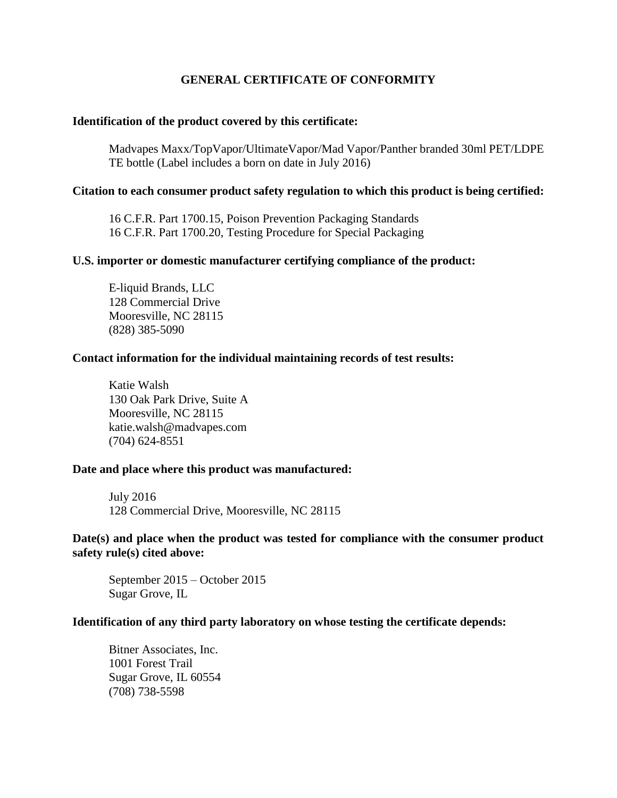# **GENERAL CERTIFICATE OF CONFORMITY**

## **Identification of the product covered by this certificate:**

Madvapes Maxx/TopVapor/UltimateVapor/Mad Vapor/Panther branded 30ml PET/LDPE TE bottle (Label includes a born on date in July 2016)

## **Citation to each consumer product safety regulation to which this product is being certified:**

16 C.F.R. Part 1700.15, Poison Prevention Packaging Standards 16 C.F.R. Part 1700.20, Testing Procedure for Special Packaging

## **U.S. importer or domestic manufacturer certifying compliance of the product:**

E-liquid Brands, LLC 128 Commercial Drive Mooresville, NC 28115 (828) 385-5090

#### **Contact information for the individual maintaining records of test results:**

Katie Walsh 130 Oak Park Drive, Suite A Mooresville, NC 28115 katie.walsh@madvapes.com (704) 624-8551

#### **Date and place where this product was manufactured:**

July 2016 128 Commercial Drive, Mooresville, NC 28115

## **Date(s) and place when the product was tested for compliance with the consumer product safety rule(s) cited above:**

September 2015 – October 2015 Sugar Grove, IL

#### **Identification of any third party laboratory on whose testing the certificate depends:**

Bitner Associates, Inc. 1001 Forest Trail Sugar Grove, IL 60554 (708) 738-5598